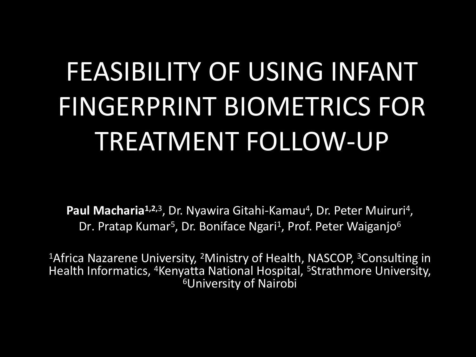# FEASIBILITY OF USING INFANT FINGERPRINT BIOMETRICS FOR TREATMENT FOLLOW-UP

Paul Macharia<sup>1,2,3</sup>, Dr. Nyawira Gitahi-Kamau<sup>4</sup>, Dr. Peter Muiruri<sup>4</sup>, , Dr. Pratap Kumar<sup>5</sup>, Dr. Boniface Ngari<sup>1</sup>, Prof. Peter Waiganjo<sup>6</sup>

<sup>1</sup>Africa Nazarene University, <sup>2</sup>Ministry of Health, NASCOP, <sup>3</sup>Consulting in Health Informatics, <sup>4</sup>Kenyatta National Hospital, <sup>5</sup>Strathmore University, <sup>6</sup>University of Nairobi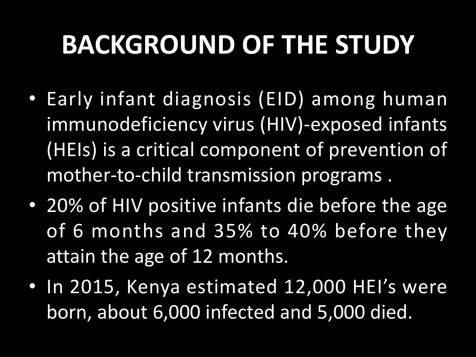## **BACKGROUND OF THE STUDY**

- Early infant diagnosis (EID) among human immunodeficiency virus (HIV)-exposed infants (HEIs) is a critical component of prevention of mother-to-child transmission programs .
- 20% of HIV positive infants die before the age of 6 months and 35% to 40% before they attain the age of 12 months.
- In 2015, Kenya estimated 12,000 HEI's were born, about 6,000 infected and 5,000 died.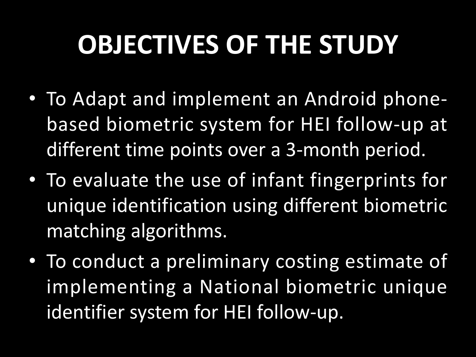## **OBJECTIVES OF THE STUDY**

- To Adapt and implement an Android phone based biometric system for HEI follow-up at different time points over a 3-month period.
- To evaluate the use of infant fingerprints for unique identification using different biometric matching algorithms.
- To conduct a preliminary costing estimate of implementing a National biometric unique identifier system for HEI follow-up.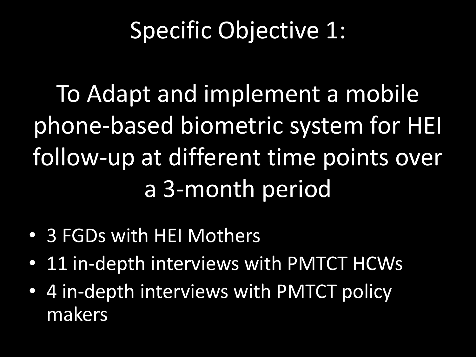#### Specific Objective 1:

To Adapt and implement a mobile phone-based biometric system for HEI follow-up at different time points over a 3-month period

- 3 FGDs with HEI Mothers
- 11 in-depth interviews with PMTCT HCWs
- 4 in-depth interviews with PMTCT policy makers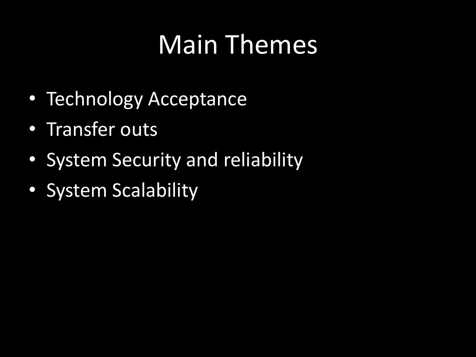## Main Themes

- Technology Acceptance
- Transfer outs
- System Security and reliability
- System Scalability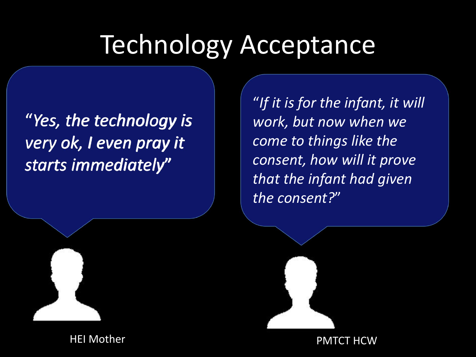#### Technology Acceptance

"*Yes, the technology is very ok, I even pray it starts immediately*"

"*If it is for the infant, it will work, but now when we come to things like the consent, how will it prove that the infant had given the consent?*"



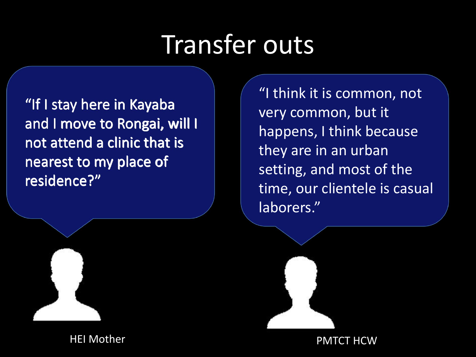## Transfer outs

"If I stay here in Kayaba and I move to Rongai, will I not attend a clinic that is nearest to my place of residence?"

"I think it is common, not very common, but it happens, I think because they are in an urban setting, and most of the time, our clientele is casual laborers."



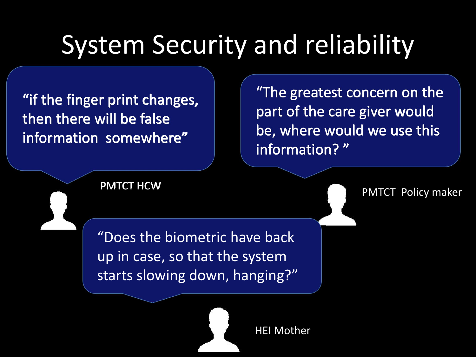## System Security and reliability

"if the finger print changes, then there will be false information somewhere"

"The greatest concern on the part of the care giver would be, where would we use this information? "

PMTCT HCW PMTCT Policy maker

"Does the biometric have back up in case, so that the system starts slowing down, hanging?"

HEI Mother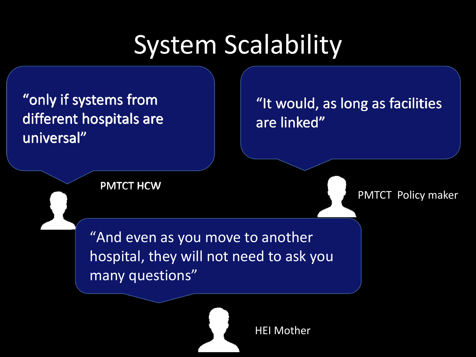### System Scalability

different hospitals are universal"

"only if systems from  $\|\hspace{0.8cm} \|$  "It would, as long as facilities  $\|\hspace{0.8cm} \|$ are linked"

PMTCT HCW

PMTCT Policy maker

"And even as you move to another hospital, they will not need to ask you many questions"



HEI Mother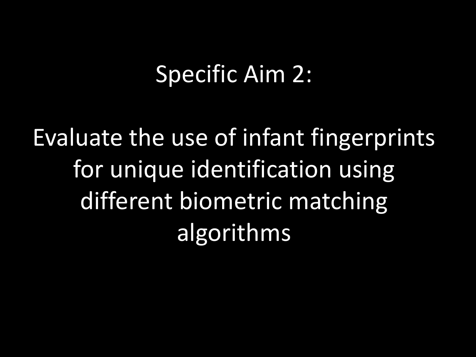#### Specific Aim 2:

Evaluate the use of infant fingerprints for unique identification using different biometric matching algorithms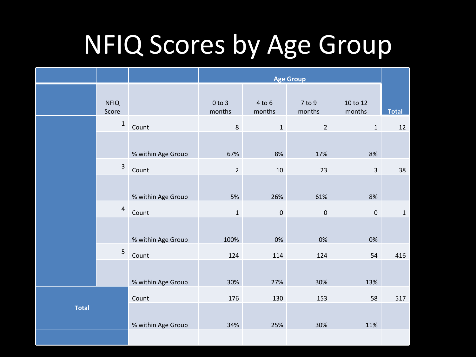#### NFIQ Scores by Age Group

|              |                      |                    | <b>Age Group</b>     |                      |                  |                         |              |
|--------------|----------------------|--------------------|----------------------|----------------------|------------------|-------------------------|--------------|
|              | <b>NFIQ</b><br>Score |                    | $0$ to $3$<br>months | $4$ to $6$<br>months | 7 to 9<br>months | 10 to 12<br>months      | <b>Total</b> |
|              | $\mathbf 1$          | Count              | 8                    | $\mathbf{1}$         | $\overline{2}$   | $\mathbf{1}$            | 12           |
|              |                      | % within Age Group | 67%                  | 8%                   | 17%              | 8%                      |              |
|              | $\mathbf{3}$         | Count              | $\overline{2}$       | $10\,$               | 23               | $\overline{\mathbf{3}}$ | 38           |
|              |                      |                    |                      |                      |                  |                         |              |
|              |                      | % within Age Group | 5%                   | 26%                  | 61%              | 8%                      |              |
|              | $\overline{4}$       | Count              | $\mathbf 1$          | $\mathbf 0$          | $\pmb{0}$        | $\pmb{0}$               | $\,1\,$      |
|              |                      | % within Age Group | 100%                 | 0%                   | 0%               | 0%                      |              |
|              | 5                    | Count              | 124                  | 114                  | 124              | 54                      | 416          |
|              |                      | % within Age Group | 30%                  | 27%                  | 30%              | 13%                     |              |
| <b>Total</b> |                      | Count              | 176                  | 130                  | 153              | 58                      | 517          |
|              |                      | % within Age Group | 34%                  | 25%                  | 30%              | 11%                     |              |
|              |                      |                    |                      |                      |                  |                         |              |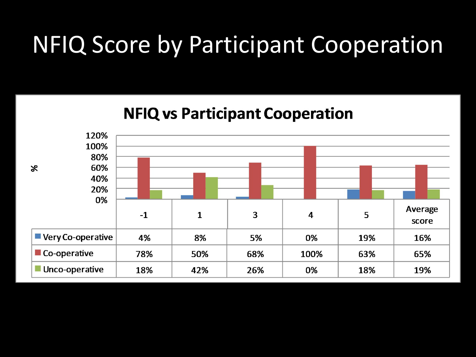#### NFIQ Score by Participant Cooperation

#### **NFIQ vs Participant Cooperation**

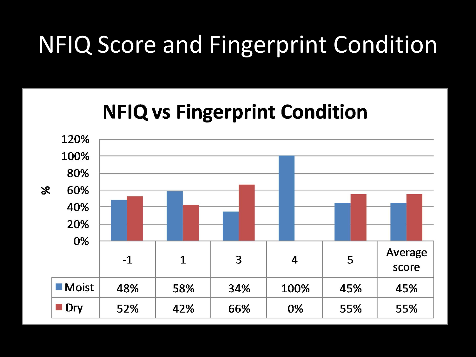#### NFIQ Score and Fingerprint Condition

#### **NFIQ vs Fingerprint Condition**

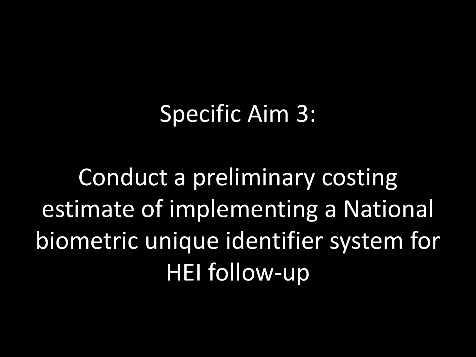#### Specific Aim 3:

Conduct a preliminary costing estimate of implementing a National biometric unique identifier system for HEI follow-up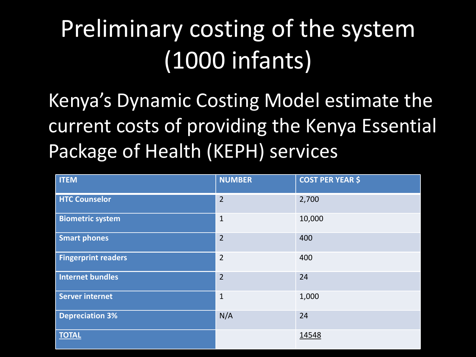### Preliminary costing of the system (1000 infants)

Kenya's Dynamic Costing Model estimate the current costs of providing the Kenya Essential Package of Health (KEPH) services

| <b>ITEM</b>                | <b>NUMBER</b>  | <b>COST PER YEAR \$</b> |
|----------------------------|----------------|-------------------------|
| <b>HTC Counselor</b>       | $\overline{2}$ | 2,700                   |
| <b>Biometric system</b>    | $\mathbf{1}$   | 10,000                  |
| <b>Smart phones</b>        | $\overline{2}$ | 400                     |
| <b>Fingerprint readers</b> | $\overline{2}$ | 400                     |
| <b>Internet bundles</b>    | $\overline{2}$ | 24                      |
| <b>Server internet</b>     | $\mathbf{1}$   | 1,000                   |
| <b>Depreciation 3%</b>     | N/A            | 24                      |
| <b>TOTAL</b>               |                | 14548                   |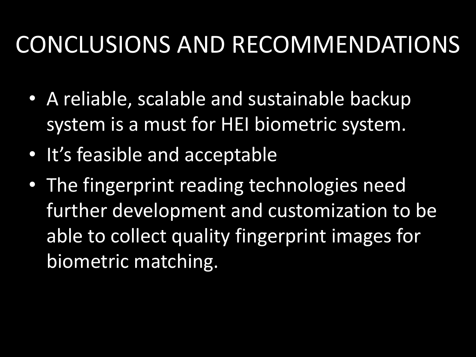#### CONCLUSIONS AND RECOMMENDATIONS

- A reliable, scalable and sustainable backup system is a must for HEI biometric system.
- It's feasible and acceptable
- The fingerprint reading technologies need further development and customization to be able to collect quality fingerprint images for biometric matching.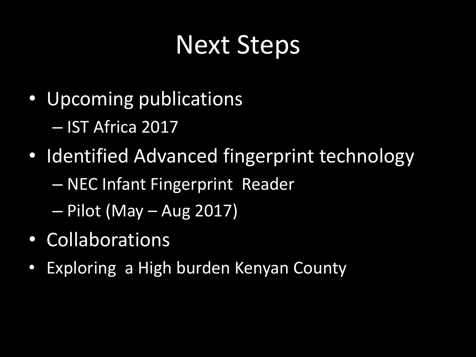### Next Steps

- Upcoming publications – IST Africa 2017
- Identified Advanced fingerprint technology
	- NEC Infant Fingerprint Reader
	- Pilot (May Aug 2017)
- Collaborations
- Exploring a High burden Kenyan County